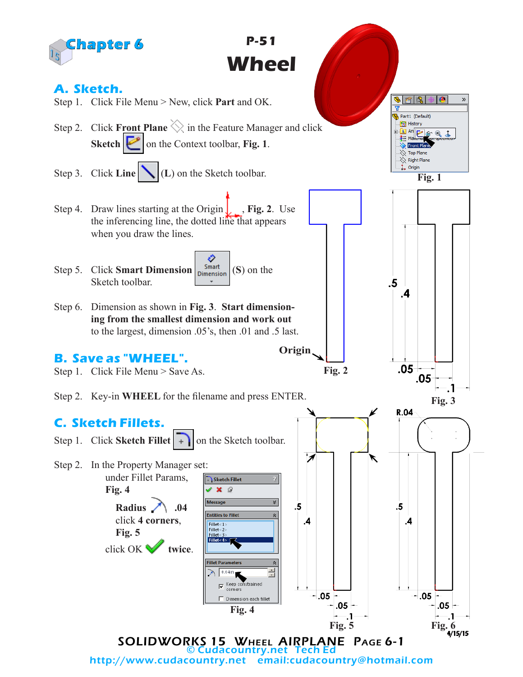

http://www.cudacountry.net email:cudacountry@hotmail.com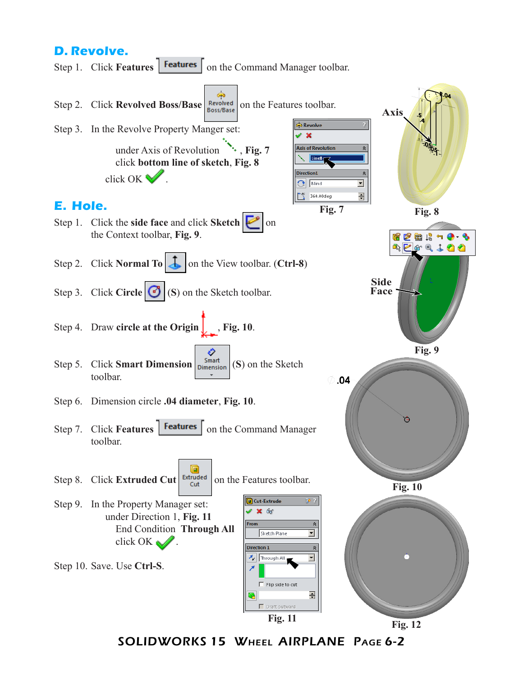## **D. Revolve.**

Step 1. Click **Features Features** on the Command Manager toolbar.



SOLIDWORKS 15 Wheel AIRPLANE Page 6-2